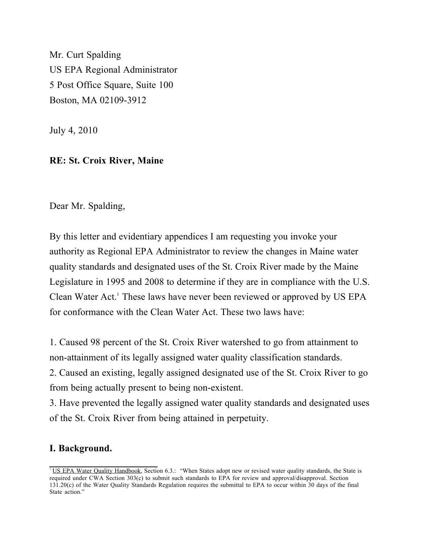Mr. Curt Spalding US EPA Regional Administrator 5 Post Office Square, Suite 100 Boston, MA 02109-3912

July 4, 2010

#### **RE: St. Croix River, Maine**

Dear Mr. Spalding,

By this letter and evidentiary appendices I am requesting you invoke your authority as Regional EPA Administrator to review the changes in Maine water quality standards and designated uses of the St. Croix River made by the Maine Legislature in 1995 and 2008 to determine if they are in compliance with the U.S. Clean Water Act.<sup>1</sup> These laws have never been reviewed or approved by US EPA for conformance with the Clean Water Act. These two laws have:

1. Caused 98 percent of the St. Croix River watershed to go from attainment to non-attainment of its legally assigned water quality classification standards.

2. Caused an existing, legally assigned designated use of the St. Croix River to go from being actually present to being non-existent.

3. Have prevented the legally assigned water quality standards and designated uses of the St. Croix River from being attained in perpetuity.

#### **I. Background.**

<sup>&</sup>lt;sup>1</sup> US EPA Water Quality Handbook, Section 6.3.: "When States adopt new or revised water quality standards, the State is required under CWA Section 303(c) to submit such standards to EPA for review and approval/disapproval. Section 131.20(c) of the Water Quality Standards Regulation requires the submittal to EPA to occur within 30 days of the final State action."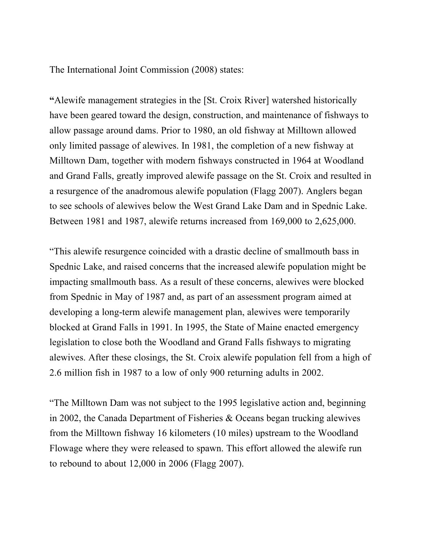The International Joint Commission (2008) states:

**"**Alewife management strategies in the [St. Croix River] watershed historically have been geared toward the design, construction, and maintenance of fishways to allow passage around dams. Prior to 1980, an old fishway at Milltown allowed only limited passage of alewives. In 1981, the completion of a new fishway at Milltown Dam, together with modern fishways constructed in 1964 at Woodland and Grand Falls, greatly improved alewife passage on the St. Croix and resulted in a resurgence of the anadromous alewife population (Flagg 2007). Anglers began to see schools of alewives below the West Grand Lake Dam and in Spednic Lake. Between 1981 and 1987, alewife returns increased from 169,000 to 2,625,000.

"This alewife resurgence coincided with a drastic decline of smallmouth bass in Spednic Lake, and raised concerns that the increased alewife population might be impacting smallmouth bass. As a result of these concerns, alewives were blocked from Spednic in May of 1987 and, as part of an assessment program aimed at developing a long-term alewife management plan, alewives were temporarily blocked at Grand Falls in 1991. In 1995, the State of Maine enacted emergency legislation to close both the Woodland and Grand Falls fishways to migrating alewives. After these closings, the St. Croix alewife population fell from a high of 2.6 million fish in 1987 to a low of only 900 returning adults in 2002.

"The Milltown Dam was not subject to the 1995 legislative action and, beginning in 2002, the Canada Department of Fisheries & Oceans began trucking alewives from the Milltown fishway 16 kilometers (10 miles) upstream to the Woodland Flowage where they were released to spawn. This effort allowed the alewife run to rebound to about 12,000 in 2006 (Flagg 2007).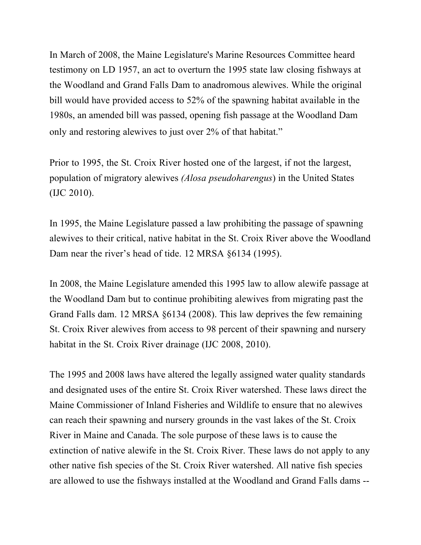In March of 2008, the Maine Legislature's Marine Resources Committee heard testimony on LD 1957, an act to overturn the 1995 state law closing fishways at the Woodland and Grand Falls Dam to anadromous alewives. While the original bill would have provided access to 52% of the spawning habitat available in the 1980s, an amended bill was passed, opening fish passage at the Woodland Dam only and restoring alewives to just over 2% of that habitat."

Prior to 1995, the St. Croix River hosted one of the largest, if not the largest, population of migratory alewives *(Alosa pseudoharengus*) in the United States (IJC 2010).

In 1995, the Maine Legislature passed a law prohibiting the passage of spawning alewives to their critical, native habitat in the St. Croix River above the Woodland Dam near the river's head of tide. 12 MRSA §6134 (1995).

In 2008, the Maine Legislature amended this 1995 law to allow alewife passage at the Woodland Dam but to continue prohibiting alewives from migrating past the Grand Falls dam. 12 MRSA §6134 (2008). This law deprives the few remaining St. Croix River alewives from access to 98 percent of their spawning and nursery habitat in the St. Croix River drainage (IJC 2008, 2010).

The 1995 and 2008 laws have altered the legally assigned water quality standards and designated uses of the entire St. Croix River watershed. These laws direct the Maine Commissioner of Inland Fisheries and Wildlife to ensure that no alewives can reach their spawning and nursery grounds in the vast lakes of the St. Croix River in Maine and Canada. The sole purpose of these laws is to cause the extinction of native alewife in the St. Croix River. These laws do not apply to any other native fish species of the St. Croix River watershed. All native fish species are allowed to use the fishways installed at the Woodland and Grand Falls dams --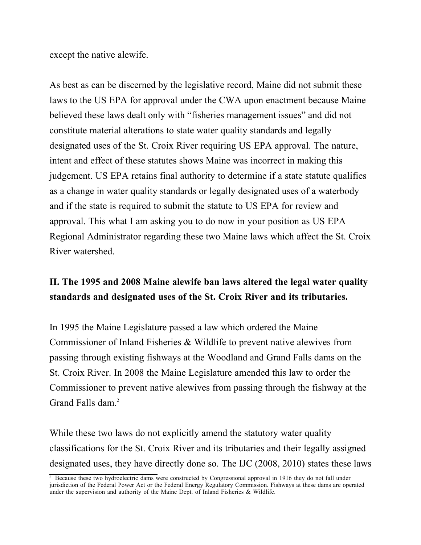except the native alewife.

As best as can be discerned by the legislative record, Maine did not submit these laws to the US EPA for approval under the CWA upon enactment because Maine believed these laws dealt only with "fisheries management issues" and did not constitute material alterations to state water quality standards and legally designated uses of the St. Croix River requiring US EPA approval. The nature, intent and effect of these statutes shows Maine was incorrect in making this judgement. US EPA retains final authority to determine if a state statute qualifies as a change in water quality standards or legally designated uses of a waterbody and if the state is required to submit the statute to US EPA for review and approval. This what I am asking you to do now in your position as US EPA Regional Administrator regarding these two Maine laws which affect the St. Croix River watershed.

# **II. The 1995 and 2008 Maine alewife ban laws altered the legal water quality standards and designated uses of the St. Croix River and its tributaries.**

In 1995 the Maine Legislature passed a law which ordered the Maine Commissioner of Inland Fisheries & Wildlife to prevent native alewives from passing through existing fishways at the Woodland and Grand Falls dams on the St. Croix River. In 2008 the Maine Legislature amended this law to order the Commissioner to prevent native alewives from passing through the fishway at the Grand Falls dam.<sup>2</sup>

While these two laws do not explicitly amend the statutory water quality classifications for the St. Croix River and its tributaries and their legally assigned designated uses, they have directly done so. The IJC (2008, 2010) states these laws

<sup>&</sup>lt;sup>2</sup> Because these two hydroelectric dams were constructed by Congressional approval in 1916 they do not fall under jurisdiction of the Federal Power Act or the Federal Energy Regulatory Commission. Fishways at these dams are operated under the supervision and authority of the Maine Dept. of Inland Fisheries & Wildlife.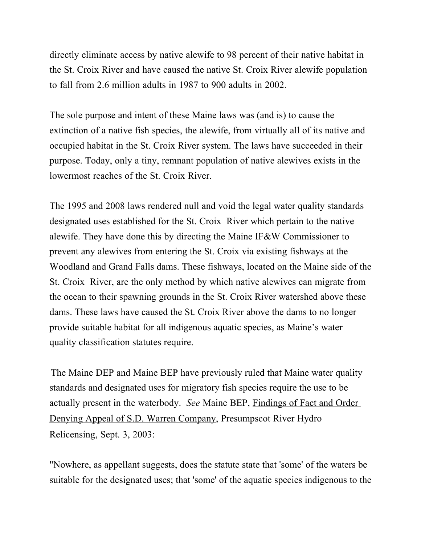directly eliminate access by native alewife to 98 percent of their native habitat in the St. Croix River and have caused the native St. Croix River alewife population to fall from 2.6 million adults in 1987 to 900 adults in 2002.

The sole purpose and intent of these Maine laws was (and is) to cause the extinction of a native fish species, the alewife, from virtually all of its native and occupied habitat in the St. Croix River system. The laws have succeeded in their purpose. Today, only a tiny, remnant population of native alewives exists in the lowermost reaches of the St. Croix River.

The 1995 and 2008 laws rendered null and void the legal water quality standards designated uses established for the St. Croix River which pertain to the native alewife. They have done this by directing the Maine IF&W Commissioner to prevent any alewives from entering the St. Croix via existing fishways at the Woodland and Grand Falls dams. These fishways, located on the Maine side of the St. Croix River, are the only method by which native alewives can migrate from the ocean to their spawning grounds in the St. Croix River watershed above these dams. These laws have caused the St. Croix River above the dams to no longer provide suitable habitat for all indigenous aquatic species, as Maine's water quality classification statutes require.

The Maine DEP and Maine BEP have previously ruled that Maine water quality standards and designated uses for migratory fish species require the use to be actually present in the waterbody. *See* Maine BEP, Findings of Fact and Order Denying Appeal of S.D. Warren Company, Presumpscot River Hydro Relicensing, Sept. 3, 2003:

"Nowhere, as appellant suggests, does the statute state that 'some' of the waters be suitable for the designated uses; that 'some' of the aquatic species indigenous to the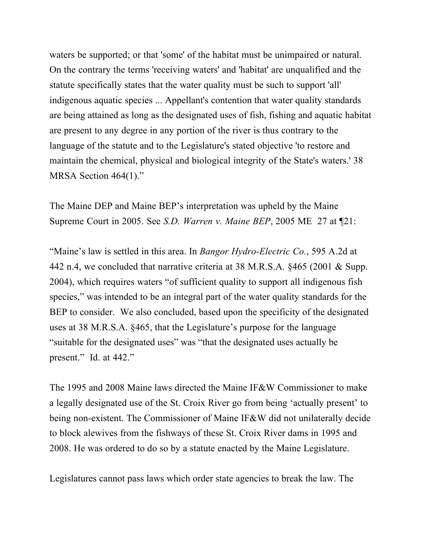waters be supported; or that 'some' of the habitat must be unimpaired or natural. On the contrary the terms 'receiving waters' and 'habitat' are unqualified and the statute specifically states that the water quality must be such to support 'all' indigenous aquatic species ... Appellant's contention that water quality standards are being attained as long as the designated uses of fish, fishing and aquatic habitat are present to any degree in any portion of the river is thus contrary to the language of the statute and to the Legislature's stated objective 'to restore and maintain the chemical, physical and biological integrity of the State's waters.' 38 MRSA Section 464(1)."

The Maine DEP and Maine BEP's interpretation was upheld by the Maine Supreme Court in 2005. See *S.D. Warren v. Maine BEP*, 2005 ME 27 at ¶21:

"Maine's law is settled in this area. In *Bangor Hydro-Electric Co.*, 595 A.2d at 442 n.4, we concluded that narrative criteria at 38 M.R.S.A. §465 (2001 & Supp. 2004), which requires waters "of sufficient quality to support all indigenous fish species," was intended to be an integral part of the water quality standards for the BEP to consider. We also concluded, based upon the specificity of the designated uses at 38 M.R.S.A. §465, that the Legislature's purpose for the language "suitable for the designated uses" was "that the designated uses actually be present." Id. at 442."

The 1995 and 2008 Maine laws directed the Maine IF&W Commissioner to make a legally designated use of the St. Croix River go from being 'actually present' to being non-existent. The Commissioner of Maine IF&W did not unilaterally decide to block alewives from the fishways of these St. Croix River dams in 1995 and 2008. He was ordered to do so by a statute enacted by the Maine Legislature.

Legislatures cannot pass laws which order state agencies to break the law. The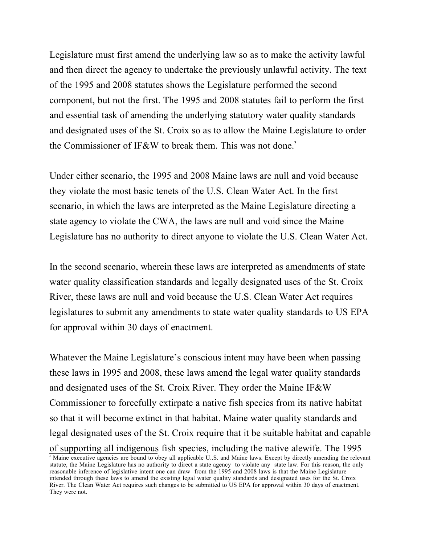Legislature must first amend the underlying law so as to make the activity lawful and then direct the agency to undertake the previously unlawful activity. The text of the 1995 and 2008 statutes shows the Legislature performed the second component, but not the first. The 1995 and 2008 statutes fail to perform the first and essential task of amending the underlying statutory water quality standards and designated uses of the St. Croix so as to allow the Maine Legislature to order the Commissioner of IF&W to break them. This was not done.<sup>3</sup>

Under either scenario, the 1995 and 2008 Maine laws are null and void because they violate the most basic tenets of the U.S. Clean Water Act. In the first scenario, in which the laws are interpreted as the Maine Legislature directing a state agency to violate the CWA, the laws are null and void since the Maine Legislature has no authority to direct anyone to violate the U.S. Clean Water Act.

In the second scenario, wherein these laws are interpreted as amendments of state water quality classification standards and legally designated uses of the St. Croix River, these laws are null and void because the U.S. Clean Water Act requires legislatures to submit any amendments to state water quality standards to US EPA for approval within 30 days of enactment.

Whatever the Maine Legislature's conscious intent may have been when passing these laws in 1995 and 2008, these laws amend the legal water quality standards and designated uses of the St. Croix River. They order the Maine IF&W Commissioner to forcefully extirpate a native fish species from its native habitat so that it will become extinct in that habitat. Maine water quality standards and legal designated uses of the St. Croix require that it be suitable habitat and capable of supporting all indigenous fish species, including the native alewife. The 1995

<sup>&</sup>lt;sup>3</sup> Maine executive agencies are bound to obey all applicable U.S. and Maine laws. Except by directly amending the relevant statute, the Maine Legislature has no authority to direct a state agency to violate any state law. For this reason, the only reasonable inference of legislative intent one can draw from the 1995 and 2008 laws is that the Maine Legislature intended through these laws to amend the existing legal water quality standards and designated uses for the St. Croix River. The Clean Water Act requires such changes to be submitted to US EPA for approval within 30 days of enactment. They were not.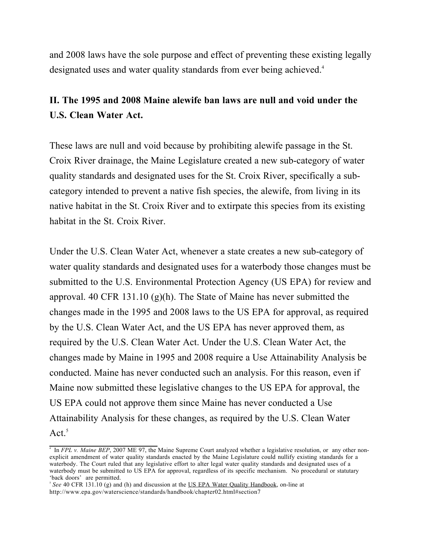and 2008 laws have the sole purpose and effect of preventing these existing legally designated uses and water quality standards from ever being achieved.<sup>4</sup>

# **II. The 1995 and 2008 Maine alewife ban laws are null and void under the U.S. Clean Water Act.**

These laws are null and void because by prohibiting alewife passage in the St. Croix River drainage, the Maine Legislature created a new sub-category of water quality standards and designated uses for the St. Croix River, specifically a subcategory intended to prevent a native fish species, the alewife, from living in its native habitat in the St. Croix River and to extirpate this species from its existing habitat in the St. Croix River.

Under the U.S. Clean Water Act, whenever a state creates a new sub-category of water quality standards and designated uses for a waterbody those changes must be submitted to the U.S. Environmental Protection Agency (US EPA) for review and approval. 40 CFR 131.10 (g)(h). The State of Maine has never submitted the changes made in the 1995 and 2008 laws to the US EPA for approval, as required by the U.S. Clean Water Act, and the US EPA has never approved them, as required by the U.S. Clean Water Act. Under the U.S. Clean Water Act, the changes made by Maine in 1995 and 2008 require a Use Attainability Analysis be conducted. Maine has never conducted such an analysis. For this reason, even if Maine now submitted these legislative changes to the US EPA for approval, the US EPA could not approve them since Maine has never conducted a Use Attainability Analysis for these changes, as required by the U.S. Clean Water Act<sup> $5$ </sup>

<sup>4</sup> In *FPL v. Maine BEP*, 2007 ME 97, the Maine Supreme Court analyzed whether a legislative resolution, or any other nonexplicit amendment of water quality standards enacted by the Maine Legislature could nullify existing standards for a waterbody. The Court ruled that any legislative effort to alter legal water quality standards and designated uses of a waterbody must be submitted to US EPA for approval, regardless of its specific mechanism. No procedural or statutary 'back doors' are permitted.

<sup>&</sup>lt;sup>5</sup> See 40 CFR 131.10 (g) and (h) and discussion at the US EPA Water Quality Handbook, on-line at http://www.epa.gov/waterscience/standards/handbook/chapter02.html#section7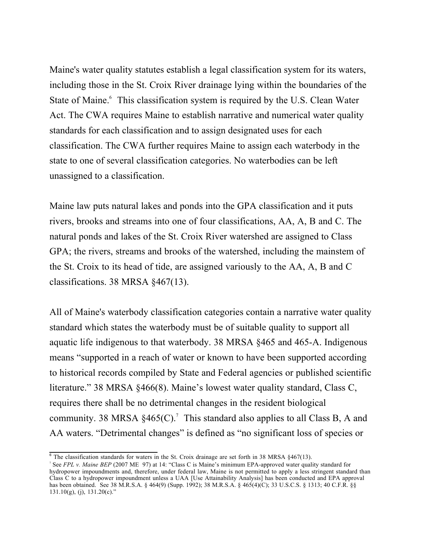Maine's water quality statutes establish a legal classification system for its waters, including those in the St. Croix River drainage lying within the boundaries of the State of Maine.<sup>6</sup> This classification system is required by the U.S. Clean Water Act. The CWA requires Maine to establish narrative and numerical water quality standards for each classification and to assign designated uses for each classification. The CWA further requires Maine to assign each waterbody in the state to one of several classification categories. No waterbodies can be left unassigned to a classification.

Maine law puts natural lakes and ponds into the GPA classification and it puts rivers, brooks and streams into one of four classifications, AA, A, B and C. The natural ponds and lakes of the St. Croix River watershed are assigned to Class GPA; the rivers, streams and brooks of the watershed, including the mainstem of the St. Croix to its head of tide, are assigned variously to the AA, A, B and C classifications. 38 MRSA §467(13).

All of Maine's waterbody classification categories contain a narrative water quality standard which states the waterbody must be of suitable quality to support all aquatic life indigenous to that waterbody. 38 MRSA §465 and 465-A. Indigenous means "supported in a reach of water or known to have been supported according to historical records compiled by State and Federal agencies or published scientific literature." 38 MRSA §466(8). Maine's lowest water quality standard, Class C, requires there shall be no detrimental changes in the resident biological community. 38 MRSA  $\S 465(C)$ .<sup>7</sup> This standard also applies to all Class B, A and AA waters. "Detrimental changes" is defined as "no significant loss of species or

 $6$  The classification standards for waters in the St. Croix drainage are set forth in 38 MRSA §467(13).

<sup>7</sup> See *FPL v. Maine BEP* (2007 ME 97) at 14: "Class C is Maine's minimum EPA-approved water quality standard for hydropower impoundments and, therefore, under federal law, Maine is not permitted to apply a less stringent standard than Class C to a hydropower impoundment unless a UAA [Use Attainability Analysis] has been conducted and EPA approval has been obtained. See 38 M.R.S.A. § 464(9) (Supp. 1992); 38 M.R.S.A. § 465(4)(C); 33 U.S.C.S. § 1313; 40 C.F.R. §§  $131.10(g)$ , (j),  $131.20(c)$ ."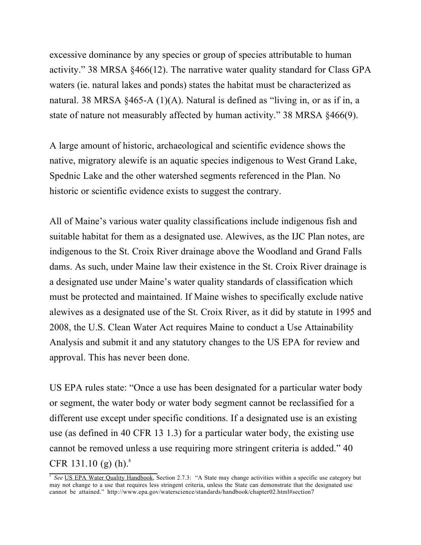excessive dominance by any species or group of species attributable to human activity." 38 MRSA §466(12). The narrative water quality standard for Class GPA waters (ie. natural lakes and ponds) states the habitat must be characterized as natural. 38 MRSA §465-A (1)(A). Natural is defined as "living in, or as if in, a state of nature not measurably affected by human activity." 38 MRSA §466(9).

A large amount of historic, archaeological and scientific evidence shows the native, migratory alewife is an aquatic species indigenous to West Grand Lake, Spednic Lake and the other watershed segments referenced in the Plan. No historic or scientific evidence exists to suggest the contrary.

All of Maine's various water quality classifications include indigenous fish and suitable habitat for them as a designated use. Alewives, as the IJC Plan notes, are indigenous to the St. Croix River drainage above the Woodland and Grand Falls dams. As such, under Maine law their existence in the St. Croix River drainage is a designated use under Maine's water quality standards of classification which must be protected and maintained. If Maine wishes to specifically exclude native alewives as a designated use of the St. Croix River, as it did by statute in 1995 and 2008, the U.S. Clean Water Act requires Maine to conduct a Use Attainability Analysis and submit it and any statutory changes to the US EPA for review and approval. This has never been done.

US EPA rules state: "Once a use has been designated for a particular water body or segment, the water body or water body segment cannot be reclassified for a different use except under specific conditions. If a designated use is an existing use (as defined in 40 CFR 13 1.3) for a particular water body, the existing use cannot be removed unless a use requiring more stringent criteria is added." 40 CFR 131.10 (g) (h). $8$ 

<sup>&</sup>lt;sup>8</sup> See US EPA Water Quality Handbook, Section 2.7.3: "A State may change activities within a specific use category but may not change to a use that requires less stringent criteria, unless the State can demonstrate that the designated use cannot be attained." http://www.epa.gov/waterscience/standards/handbook/chapter02.html#section7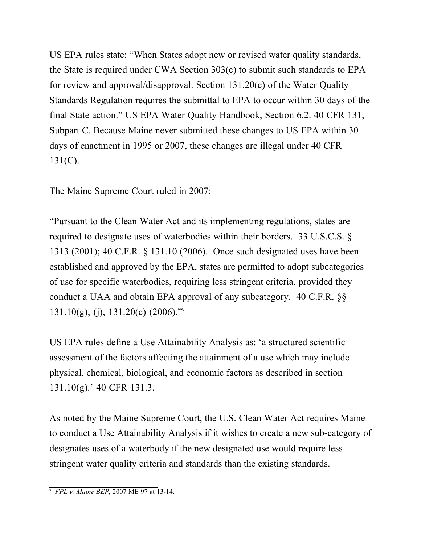US EPA rules state: "When States adopt new or revised water quality standards, the State is required under CWA Section 303(c) to submit such standards to EPA for review and approval/disapproval. Section 131.20(c) of the Water Quality Standards Regulation requires the submittal to EPA to occur within 30 days of the final State action." US EPA Water Quality Handbook, Section 6.2. 40 CFR 131, Subpart C. Because Maine never submitted these changes to US EPA within 30 days of enactment in 1995 or 2007, these changes are illegal under 40 CFR 131(C).

The Maine Supreme Court ruled in 2007:

"Pursuant to the Clean Water Act and its implementing regulations, states are required to designate uses of waterbodies within their borders. 33 U.S.C.S. § 1313 (2001); 40 C.F.R. § 131.10 (2006). Once such designated uses have been established and approved by the EPA, states are permitted to adopt subcategories of use for specific waterbodies, requiring less stringent criteria, provided they conduct a UAA and obtain EPA approval of any subcategory. 40 C.F.R. §§  $131.10(g)$ , (j),  $131.20(c)$  (2006)."<sup>9</sup>

US EPA rules define a Use Attainability Analysis as: 'a structured scientific assessment of the factors affecting the attainment of a use which may include physical, chemical, biological, and economic factors as described in section 131.10(g).' 40 CFR 131.3.

As noted by the Maine Supreme Court, the U.S. Clean Water Act requires Maine to conduct a Use Attainability Analysis if it wishes to create a new sub-category of designates uses of a waterbody if the new designated use would require less stringent water quality criteria and standards than the existing standards.

<sup>9</sup> *FPL v. Maine BEP*, 2007 ME 97 at 13-14.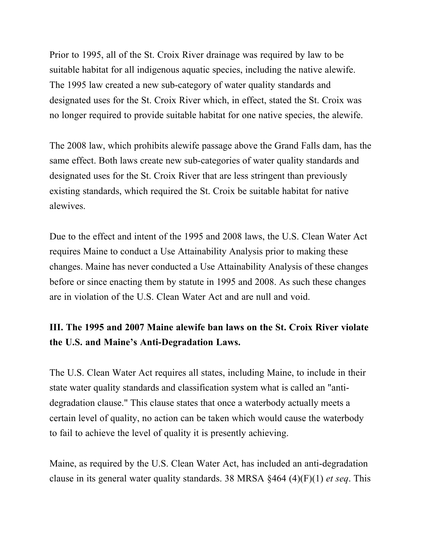Prior to 1995, all of the St. Croix River drainage was required by law to be suitable habitat for all indigenous aquatic species, including the native alewife. The 1995 law created a new sub-category of water quality standards and designated uses for the St. Croix River which, in effect, stated the St. Croix was no longer required to provide suitable habitat for one native species, the alewife.

The 2008 law, which prohibits alewife passage above the Grand Falls dam, has the same effect. Both laws create new sub-categories of water quality standards and designated uses for the St. Croix River that are less stringent than previously existing standards, which required the St. Croix be suitable habitat for native alewives.

Due to the effect and intent of the 1995 and 2008 laws, the U.S. Clean Water Act requires Maine to conduct a Use Attainability Analysis prior to making these changes. Maine has never conducted a Use Attainability Analysis of these changes before or since enacting them by statute in 1995 and 2008. As such these changes are in violation of the U.S. Clean Water Act and are null and void.

# **III. The 1995 and 2007 Maine alewife ban laws on the St. Croix River violate the U.S. and Maine's Anti-Degradation Laws.**

The U.S. Clean Water Act requires all states, including Maine, to include in their state water quality standards and classification system what is called an "antidegradation clause." This clause states that once a waterbody actually meets a certain level of quality, no action can be taken which would cause the waterbody to fail to achieve the level of quality it is presently achieving.

Maine, as required by the U.S. Clean Water Act, has included an anti-degradation clause in its general water quality standards. 38 MRSA §464 (4)(F)(1) *et seq*. This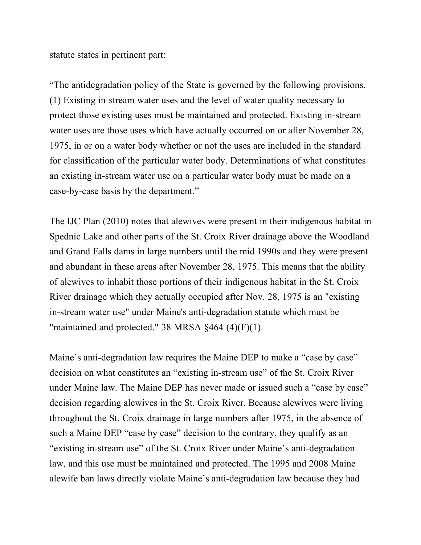statute states in pertinent part:

"The antidegradation policy of the State is governed by the following provisions. (1) Existing in-stream water uses and the level of water quality necessary to protect those existing uses must be maintained and protected. Existing in-stream water uses are those uses which have actually occurred on or after November 28, 1975, in or on a water body whether or not the uses are included in the standard for classification of the particular water body. Determinations of what constitutes an existing in-stream water use on a particular water body must be made on a case-by-case basis by the department."

The IJC Plan (2010) notes that alewives were present in their indigenous habitat in Spednic Lake and other parts of the St. Croix River drainage above the Woodland and Grand Falls dams in large numbers until the mid 1990s and they were present and abundant in these areas after November 28, 1975. This means that the ability of alewives to inhabit those portions of their indigenous habitat in the St. Croix River drainage which they actually occupied after Nov. 28, 1975 is an "existing in-stream water use" under Maine's anti-degradation statute which must be "maintained and protected." 38 MRSA  $§464$  (4)(F)(1).

Maine's anti-degradation law requires the Maine DEP to make a "case by case" decision on what constitutes an "existing in-stream use" of the St. Croix River under Maine law. The Maine DEP has never made or issued such a "case by case" decision regarding alewives in the St. Croix River. Because alewives were living throughout the St. Croix drainage in large numbers after 1975, in the absence of such a Maine DEP "case by case" decision to the contrary, they qualify as an "existing in-stream use" of the St. Croix River under Maine's anti-degradation law, and this use must be maintained and protected. The 1995 and 2008 Maine alewife ban laws directly violate Maine's anti-degradation law because they had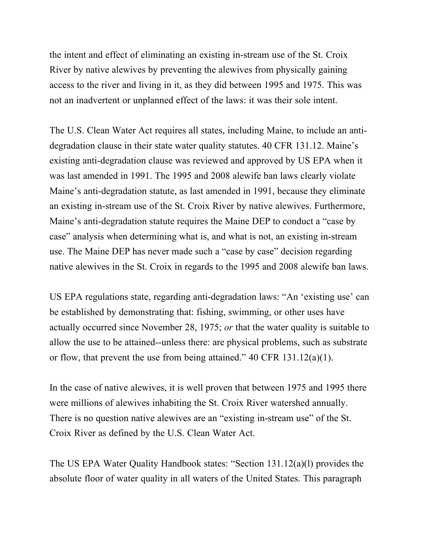the intent and effect of eliminating an existing in-stream use of the St. Croix River by native alewives by preventing the alewives from physically gaining access to the river and living in it, as they did between 1995 and 1975. This was not an inadvertent or unplanned effect of the laws: it was their sole intent.

The U.S. Clean Water Act requires all states, including Maine, to include an antidegradation clause in their state water quality statutes. 40 CFR 131.12. Maine's existing anti-degradation clause was reviewed and approved by US EPA when it was last amended in 1991. The 1995 and 2008 alewife ban laws clearly violate Maine's anti-degradation statute, as last amended in 1991, because they eliminate an existing in-stream use of the St. Croix River by native alewives. Furthermore, Maine's anti-degradation statute requires the Maine DEP to conduct a "case by case" analysis when determining what is, and what is not, an existing in-stream use. The Maine DEP has never made such a "case by case" decision regarding native alewives in the St. Croix in regards to the 1995 and 2008 alewife ban laws.

US EPA regulations state, regarding anti-degradation laws: "An 'existing use' can be established by demonstrating that: fishing, swimming, or other uses have actually occurred since November 28, 1975; *or* that the water quality is suitable to allow the use to be attained--unless there: are physical problems, such as substrate or flow, that prevent the use from being attained." 40 CFR 131.12(a)(1).

In the case of native alewives, it is well proven that between 1975 and 1995 there were millions of alewives inhabiting the St. Croix River watershed annually. There is no question native alewives are an "existing in-stream use" of the St. Croix River as defined by the U.S. Clean Water Act.

The US EPA Water Quality Handbook states: "Section 131.12(a)(l) provides the absolute floor of water quality in all waters of the United States. This paragraph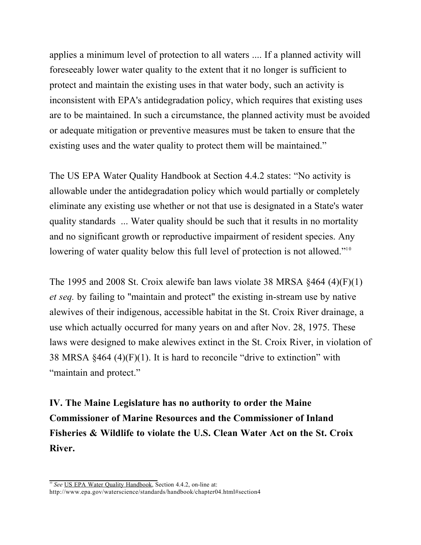applies a minimum level of protection to all waters .... If a planned activity will foreseeably lower water quality to the extent that it no longer is sufficient to protect and maintain the existing uses in that water body, such an activity is inconsistent with EPA's antidegradation policy, which requires that existing uses are to be maintained. In such a circumstance, the planned activity must be avoided or adequate mitigation or preventive measures must be taken to ensure that the existing uses and the water quality to protect them will be maintained."

The US EPA Water Quality Handbook at Section 4.4.2 states: "No activity is allowable under the antidegradation policy which would partially or completely eliminate any existing use whether or not that use is designated in a State's water quality standards ... Water quality should be such that it results in no mortality and no significant growth or reproductive impairment of resident species. Any lowering of water quality below this full level of protection is not allowed."<sup>10</sup>

The 1995 and 2008 St. Croix alewife ban laws violate 38 MRSA  $§464 (4)(F)(1)$ *et seq.* by failing to "maintain and protect" the existing in-stream use by native alewives of their indigenous, accessible habitat in the St. Croix River drainage, a use which actually occurred for many years on and after Nov. 28, 1975. These laws were designed to make alewives extinct in the St. Croix River, in violation of 38 MRSA  $§464$  (4)(F)(1). It is hard to reconcile "drive to extinction" with "maintain and protect."

**IV. The Maine Legislature has no authority to order the Maine Commissioner of Marine Resources and the Commissioner of Inland Fisheries & Wildlife to violate the U.S. Clean Water Act on the St. Croix River.**

<sup>&</sup>lt;sup>10</sup> See US EPA Water Quality Handbook, Section 4.4.2, on-line at:

http://www.epa.gov/waterscience/standards/handbook/chapter04.html#section4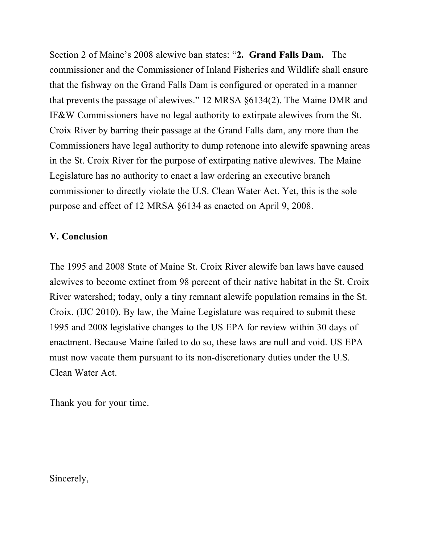Section 2 of Maine's 2008 alewive ban states: "**2. Grand Falls Dam.** The commissioner and the Commissioner of Inland Fisheries and Wildlife shall ensure that the fishway on the Grand Falls Dam is configured or operated in a manner that prevents the passage of alewives." 12 MRSA §6134(2). The Maine DMR and IF&W Commissioners have no legal authority to extirpate alewives from the St. Croix River by barring their passage at the Grand Falls dam, any more than the Commissioners have legal authority to dump rotenone into alewife spawning areas in the St. Croix River for the purpose of extirpating native alewives. The Maine Legislature has no authority to enact a law ordering an executive branch commissioner to directly violate the U.S. Clean Water Act. Yet, this is the sole purpose and effect of 12 MRSA §6134 as enacted on April 9, 2008.

#### **V. Conclusion**

The 1995 and 2008 State of Maine St. Croix River alewife ban laws have caused alewives to become extinct from 98 percent of their native habitat in the St. Croix River watershed; today, only a tiny remnant alewife population remains in the St. Croix. (IJC 2010). By law, the Maine Legislature was required to submit these 1995 and 2008 legislative changes to the US EPA for review within 30 days of enactment. Because Maine failed to do so, these laws are null and void. US EPA must now vacate them pursuant to its non-discretionary duties under the U.S. Clean Water Act.

Thank you for your time.

Sincerely,